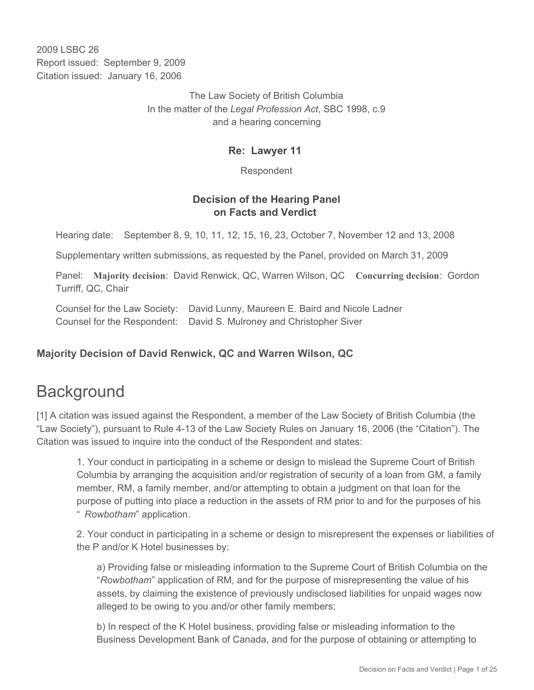2009 LSBC 26 Report issued: September 9, 2009 Citation issued: January 16, 2006

> The Law Society of British Columbia In the matter of the *Legal Profession Act*, SBC 1998, c.9 and a hearing concerning

### **Re: Lawyer 11**

Respondent

### **Decision of the Hearing Panel on Facts and Verdict**

Hearing date: September 8, 9, 10, 11, 12, 15, 16, 23, October 7, November 12 and 13, 2008

Supplementary written submissions, as requested by the Panel, provided on March 31, 2009

Panel: **Majority decision**: David Renwick, QC, Warren Wilson, QC **Concurring decision**: Gordon Turriff, QC, Chair

Counsel for the Law Society: David Lunny, Maureen E. Baird and Nicole Ladner Counsel for the Respondent: David S. Mulroney and Christopher Siver

## **Majority Decision of David Renwick, QC and Warren Wilson, QC**

# **Background**

[1] A citation was issued against the Respondent, a member of the Law Society of British Columbia (the "Law Society"), pursuant to Rule 4-13 of the Law Society Rules on January 16, 2006 (the "Citation"). The Citation was issued to inquire into the conduct of the Respondent and states:

1. Your conduct in participating in a scheme or design to mislead the Supreme Court of British Columbia by arranging the acquisition and/or registration of security of a loan from GM, a family member, RM, a family member, and/or attempting to obtain a judgment on that loan for the purpose of putting into place a reduction in the assets of RM prior to and for the purposes of his " *Rowbotham*" application.

2. Your conduct in participating in a scheme or design to misrepresent the expenses or liabilities of the P and/or K Hotel businesses by:

a) Providing false or misleading information to the Supreme Court of British Columbia on the "*Rowbotham*" application of RM, and for the purpose of misrepresenting the value of his assets, by claiming the existence of previously undisclosed liabilities for unpaid wages now alleged to be owing to you and/or other family members;

b) In respect of the K Hotel business, providing false or misleading information to the Business Development Bank of Canada, and for the purpose of obtaining or attempting to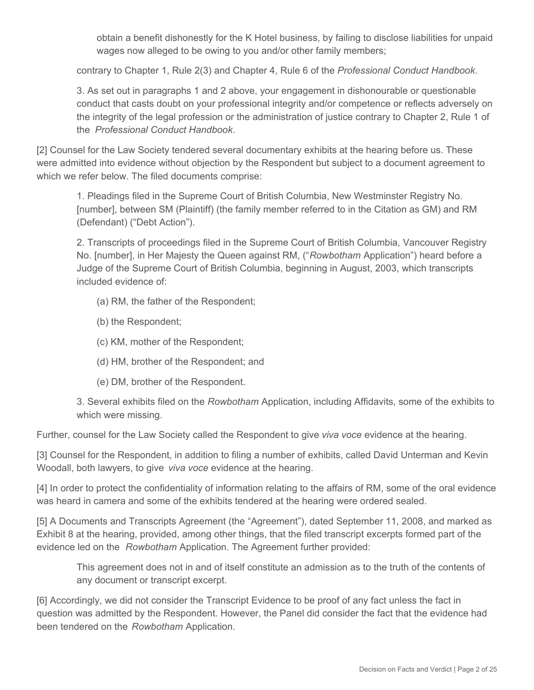obtain a benefit dishonestly for the K Hotel business, by failing to disclose liabilities for unpaid wages now alleged to be owing to you and/or other family members;

contrary to Chapter 1, Rule 2(3) and Chapter 4, Rule 6 of the *Professional Conduct Handbook*.

3. As set out in paragraphs 1 and 2 above, your engagement in dishonourable or questionable conduct that casts doubt on your professional integrity and/or competence or reflects adversely on the integrity of the legal profession or the administration of justice contrary to Chapter 2, Rule 1 of the *Professional Conduct Handbook*.

[2] Counsel for the Law Society tendered several documentary exhibits at the hearing before us. These were admitted into evidence without objection by the Respondent but subject to a document agreement to which we refer below. The filed documents comprise:

1. Pleadings filed in the Supreme Court of British Columbia, New Westminster Registry No. [number], between SM (Plaintiff) (the family member referred to in the Citation as GM) and RM (Defendant) ("Debt Action").

2. Transcripts of proceedings filed in the Supreme Court of British Columbia, Vancouver Registry No. [number], in Her Majesty the Queen against RM, ("*Rowbotham* Application") heard before a Judge of the Supreme Court of British Columbia, beginning in August, 2003, which transcripts included evidence of:

- (a) RM, the father of the Respondent;
- (b) the Respondent;
- (c) KM, mother of the Respondent;
- (d) HM, brother of the Respondent; and
- (e) DM, brother of the Respondent.

3. Several exhibits filed on the *Rowbotham* Application, including Affidavits, some of the exhibits to which were missing.

Further, counsel for the Law Society called the Respondent to give *viva voce* evidence at the hearing.

[3] Counsel for the Respondent, in addition to filing a number of exhibits, called David Unterman and Kevin Woodall, both lawyers, to give *viva voce* evidence at the hearing.

[4] In order to protect the confidentiality of information relating to the affairs of RM, some of the oral evidence was heard in camera and some of the exhibits tendered at the hearing were ordered sealed.

[5] A Documents and Transcripts Agreement (the "Agreement"), dated September 11, 2008, and marked as Exhibit 8 at the hearing, provided, among other things, that the filed transcript excerpts formed part of the evidence led on the *Rowbotham* Application. The Agreement further provided:

This agreement does not in and of itself constitute an admission as to the truth of the contents of any document or transcript excerpt.

[6] Accordingly, we did not consider the Transcript Evidence to be proof of any fact unless the fact in question was admitted by the Respondent. However, the Panel did consider the fact that the evidence had been tendered on the *Rowbotham* Application.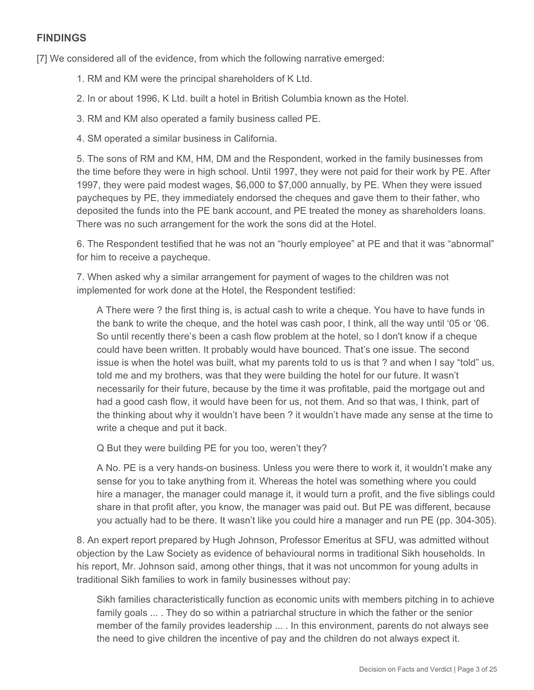## **FINDINGS**

[7] We considered all of the evidence, from which the following narrative emerged:

- 1. RM and KM were the principal shareholders of K Ltd.
- 2. In or about 1996, K Ltd. built a hotel in British Columbia known as the Hotel.
- 3. RM and KM also operated a family business called PE.
- 4. SM operated a similar business in California.

5. The sons of RM and KM, HM, DM and the Respondent, worked in the family businesses from the time before they were in high school. Until 1997, they were not paid for their work by PE. After 1997, they were paid modest wages, \$6,000 to \$7,000 annually, by PE. When they were issued paycheques by PE, they immediately endorsed the cheques and gave them to their father, who deposited the funds into the PE bank account, and PE treated the money as shareholders loans. There was no such arrangement for the work the sons did at the Hotel.

6. The Respondent testified that he was not an "hourly employee" at PE and that it was "abnormal" for him to receive a paycheque.

7. When asked why a similar arrangement for payment of wages to the children was not implemented for work done at the Hotel, the Respondent testified:

A There were ? the first thing is, is actual cash to write a cheque. You have to have funds in the bank to write the cheque, and the hotel was cash poor, I think, all the way until '05 or '06. So until recently there's been a cash flow problem at the hotel, so I don't know if a cheque could have been written. It probably would have bounced. That's one issue. The second issue is when the hotel was built, what my parents told to us is that ? and when I say "told" us, told me and my brothers, was that they were building the hotel for our future. It wasn't necessarily for their future, because by the time it was profitable, paid the mortgage out and had a good cash flow, it would have been for us, not them. And so that was, I think, part of the thinking about why it wouldn't have been ? it wouldn't have made any sense at the time to write a cheque and put it back.

Q But they were building PE for you too, weren't they?

A No. PE is a very hands-on business. Unless you were there to work it, it wouldn't make any sense for you to take anything from it. Whereas the hotel was something where you could hire a manager, the manager could manage it, it would turn a profit, and the five siblings could share in that profit after, you know, the manager was paid out. But PE was different, because you actually had to be there. It wasn't like you could hire a manager and run PE (pp. 304-305).

8. An expert report prepared by Hugh Johnson, Professor Emeritus at SFU, was admitted without objection by the Law Society as evidence of behavioural norms in traditional Sikh households. In his report, Mr. Johnson said, among other things, that it was not uncommon for young adults in traditional Sikh families to work in family businesses without pay:

Sikh families characteristically function as economic units with members pitching in to achieve family goals ... . They do so within a patriarchal structure in which the father or the senior member of the family provides leadership ... . In this environment, parents do not always see the need to give children the incentive of pay and the children do not always expect it.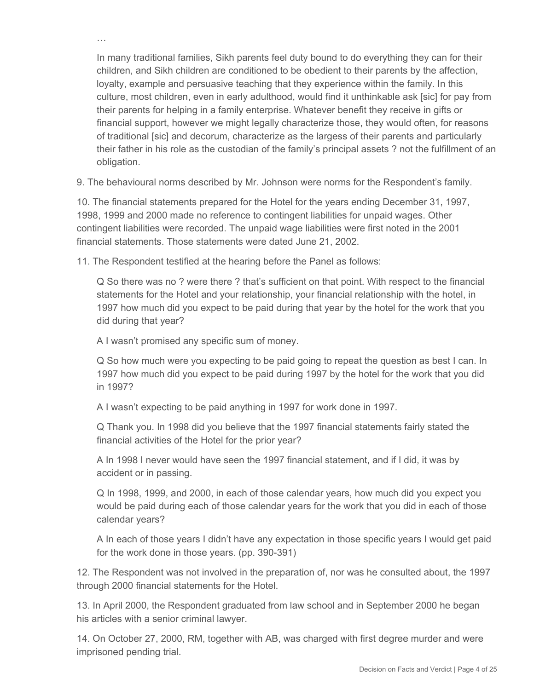In many traditional families, Sikh parents feel duty bound to do everything they can for their children, and Sikh children are conditioned to be obedient to their parents by the affection, loyalty, example and persuasive teaching that they experience within the family. In this culture, most children, even in early adulthood, would find it unthinkable ask [sic] for pay from their parents for helping in a family enterprise. Whatever benefit they receive in gifts or financial support, however we might legally characterize those, they would often, for reasons of traditional [sic] and decorum, characterize as the largess of their parents and particularly their father in his role as the custodian of the family's principal assets ? not the fulfillment of an obligation.

9. The behavioural norms described by Mr. Johnson were norms for the Respondent's family.

10. The financial statements prepared for the Hotel for the years ending December 31, 1997, 1998, 1999 and 2000 made no reference to contingent liabilities for unpaid wages. Other contingent liabilities were recorded. The unpaid wage liabilities were first noted in the 2001 financial statements. Those statements were dated June 21, 2002.

11. The Respondent testified at the hearing before the Panel as follows:

Q So there was no ? were there ? that's sufficient on that point. With respect to the financial statements for the Hotel and your relationship, your financial relationship with the hotel, in 1997 how much did you expect to be paid during that year by the hotel for the work that you did during that year?

A I wasn't promised any specific sum of money.

…

Q So how much were you expecting to be paid going to repeat the question as best I can. In 1997 how much did you expect to be paid during 1997 by the hotel for the work that you did in 1997?

A I wasn't expecting to be paid anything in 1997 for work done in 1997.

Q Thank you. In 1998 did you believe that the 1997 financial statements fairly stated the financial activities of the Hotel for the prior year?

A In 1998 I never would have seen the 1997 financial statement, and if I did, it was by accident or in passing.

Q In 1998, 1999, and 2000, in each of those calendar years, how much did you expect you would be paid during each of those calendar years for the work that you did in each of those calendar years?

A In each of those years I didn't have any expectation in those specific years I would get paid for the work done in those years. (pp. 390-391)

12. The Respondent was not involved in the preparation of, nor was he consulted about, the 1997 through 2000 financial statements for the Hotel.

13. In April 2000, the Respondent graduated from law school and in September 2000 he began his articles with a senior criminal lawyer.

14. On October 27, 2000, RM, together with AB, was charged with first degree murder and were imprisoned pending trial.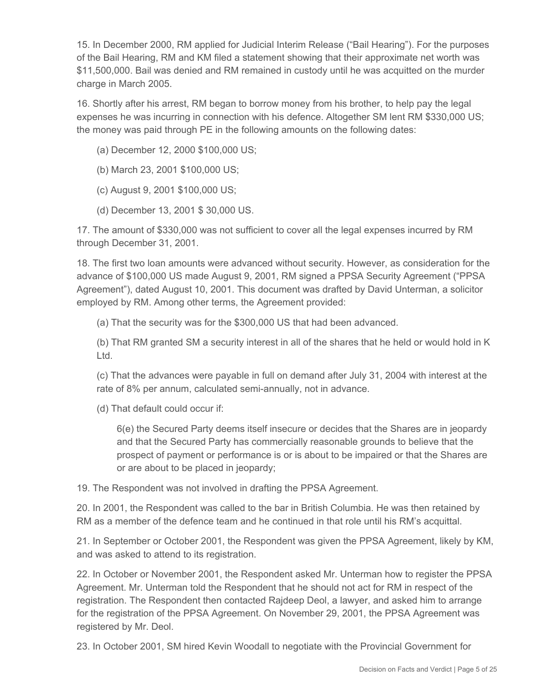15. In December 2000, RM applied for Judicial Interim Release ("Bail Hearing"). For the purposes of the Bail Hearing, RM and KM filed a statement showing that their approximate net worth was \$11,500,000. Bail was denied and RM remained in custody until he was acquitted on the murder charge in March 2005.

16. Shortly after his arrest, RM began to borrow money from his brother, to help pay the legal expenses he was incurring in connection with his defence. Altogether SM lent RM \$330,000 US; the money was paid through PE in the following amounts on the following dates:

- (a) December 12, 2000 \$100,000 US;
- (b) March 23, 2001 \$100,000 US;
- (c) August 9, 2001 \$100,000 US;
- (d) December 13, 2001 \$ 30,000 US.

17. The amount of \$330,000 was not sufficient to cover all the legal expenses incurred by RM through December 31, 2001.

18. The first two loan amounts were advanced without security. However, as consideration for the advance of \$100,000 US made August 9, 2001, RM signed a PPSA Security Agreement ("PPSA Agreement"), dated August 10, 2001. This document was drafted by David Unterman, a solicitor employed by RM. Among other terms, the Agreement provided:

(a) That the security was for the \$300,000 US that had been advanced.

(b) That RM granted SM a security interest in all of the shares that he held or would hold in K Ltd.

(c) That the advances were payable in full on demand after July 31, 2004 with interest at the rate of 8% per annum, calculated semi-annually, not in advance.

(d) That default could occur if:

6(e) the Secured Party deems itself insecure or decides that the Shares are in jeopardy and that the Secured Party has commercially reasonable grounds to believe that the prospect of payment or performance is or is about to be impaired or that the Shares are or are about to be placed in jeopardy;

19. The Respondent was not involved in drafting the PPSA Agreement.

20. In 2001, the Respondent was called to the bar in British Columbia. He was then retained by RM as a member of the defence team and he continued in that role until his RM's acquittal.

21. In September or October 2001, the Respondent was given the PPSA Agreement, likely by KM, and was asked to attend to its registration.

22. In October or November 2001, the Respondent asked Mr. Unterman how to register the PPSA Agreement. Mr. Unterman told the Respondent that he should not act for RM in respect of the registration. The Respondent then contacted Rajdeep Deol, a lawyer, and asked him to arrange for the registration of the PPSA Agreement. On November 29, 2001, the PPSA Agreement was registered by Mr. Deol.

23. In October 2001, SM hired Kevin Woodall to negotiate with the Provincial Government for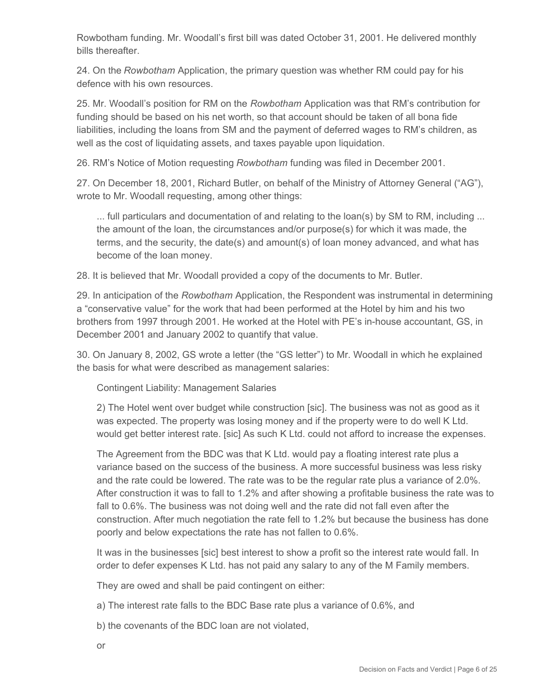Rowbotham funding. Mr. Woodall's first bill was dated October 31, 2001. He delivered monthly bills thereafter.

24. On the *Rowbotham* Application, the primary question was whether RM could pay for his defence with his own resources.

25. Mr. Woodall's position for RM on the *Rowbotham* Application was that RM's contribution for funding should be based on his net worth, so that account should be taken of all bona fide liabilities, including the loans from SM and the payment of deferred wages to RM's children, as well as the cost of liquidating assets, and taxes payable upon liquidation.

26. RM's Notice of Motion requesting *Rowbotham* funding was filed in December 2001.

27. On December 18, 2001, Richard Butler, on behalf of the Ministry of Attorney General ("AG"), wrote to Mr. Woodall requesting, among other things:

... full particulars and documentation of and relating to the loan(s) by SM to RM, including ... the amount of the loan, the circumstances and/or purpose(s) for which it was made, the terms, and the security, the date(s) and amount(s) of loan money advanced, and what has become of the loan money.

28. It is believed that Mr. Woodall provided a copy of the documents to Mr. Butler.

29. In anticipation of the *Rowbotham* Application, the Respondent was instrumental in determining a "conservative value" for the work that had been performed at the Hotel by him and his two brothers from 1997 through 2001. He worked at the Hotel with PE's in-house accountant, GS, in December 2001 and January 2002 to quantify that value.

30. On January 8, 2002, GS wrote a letter (the "GS letter") to Mr. Woodall in which he explained the basis for what were described as management salaries:

Contingent Liability: Management Salaries

2) The Hotel went over budget while construction [sic]. The business was not as good as it was expected. The property was losing money and if the property were to do well K Ltd. would get better interest rate. [sic] As such K Ltd. could not afford to increase the expenses.

The Agreement from the BDC was that K Ltd. would pay a floating interest rate plus a variance based on the success of the business. A more successful business was less risky and the rate could be lowered. The rate was to be the regular rate plus a variance of 2.0%. After construction it was to fall to 1.2% and after showing a profitable business the rate was to fall to 0.6%. The business was not doing well and the rate did not fall even after the construction. After much negotiation the rate fell to 1.2% but because the business has done poorly and below expectations the rate has not fallen to 0.6%.

It was in the businesses [sic] best interest to show a profit so the interest rate would fall. In order to defer expenses K Ltd. has not paid any salary to any of the M Family members.

They are owed and shall be paid contingent on either:

a) The interest rate falls to the BDC Base rate plus a variance of 0.6%, and

b) the covenants of the BDC loan are not violated,

or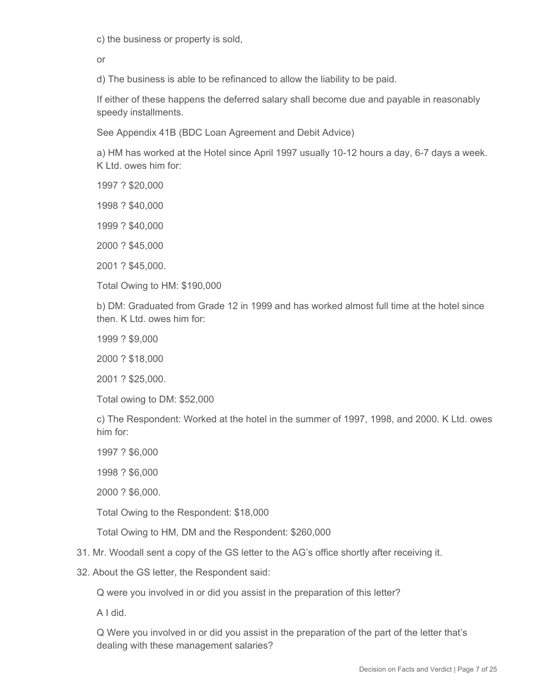c) the business or property is sold,

or

d) The business is able to be refinanced to allow the liability to be paid.

If either of these happens the deferred salary shall become due and payable in reasonably speedy installments.

See Appendix 41B (BDC Loan Agreement and Debit Advice)

a) HM has worked at the Hotel since April 1997 usually 10-12 hours a day, 6-7 days a week. K Ltd. owes him for:

1997 ? \$20,000

1998 ? \$40,000

1999 ? \$40,000

2000 ? \$45,000

2001 ? \$45,000.

Total Owing to HM: \$190,000

b) DM: Graduated from Grade 12 in 1999 and has worked almost full time at the hotel since then. K Ltd. owes him for:

1999 ? \$9,000

2000 ? \$18,000

2001 ? \$25,000.

Total owing to DM: \$52,000

c) The Respondent: Worked at the hotel in the summer of 1997, 1998, and 2000. K Ltd. owes him for:

1997 ? \$6,000

1998 ? \$6,000

2000 ? \$6,000.

Total Owing to the Respondent: \$18,000

Total Owing to HM, DM and the Respondent: \$260,000

31. Mr. Woodall sent a copy of the GS letter to the AG's office shortly after receiving it.

32. About the GS letter, the Respondent said:

Q were you involved in or did you assist in the preparation of this letter?

A I did.

Q Were you involved in or did you assist in the preparation of the part of the letter that's dealing with these management salaries?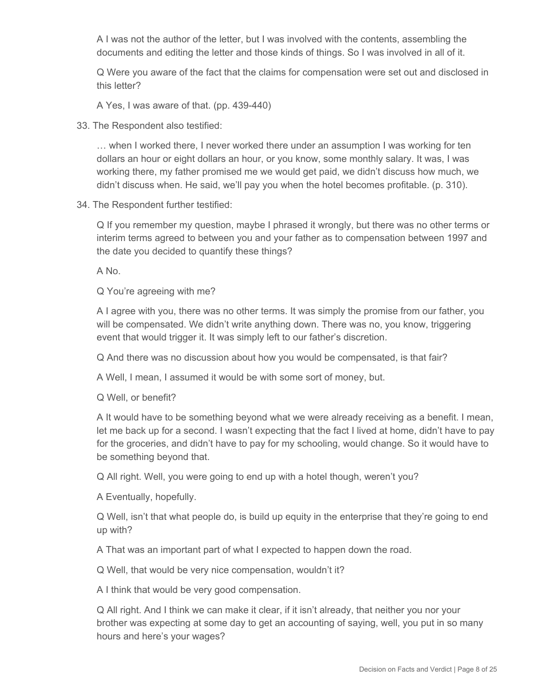A I was not the author of the letter, but I was involved with the contents, assembling the documents and editing the letter and those kinds of things. So I was involved in all of it.

Q Were you aware of the fact that the claims for compensation were set out and disclosed in this letter?

A Yes, I was aware of that. (pp. 439-440)

33. The Respondent also testified:

… when I worked there, I never worked there under an assumption I was working for ten dollars an hour or eight dollars an hour, or you know, some monthly salary. It was, I was working there, my father promised me we would get paid, we didn't discuss how much, we didn't discuss when. He said, we'll pay you when the hotel becomes profitable. (p. 310).

34. The Respondent further testified:

Q If you remember my question, maybe I phrased it wrongly, but there was no other terms or interim terms agreed to between you and your father as to compensation between 1997 and the date you decided to quantify these things?

A No.

Q You're agreeing with me?

A I agree with you, there was no other terms. It was simply the promise from our father, you will be compensated. We didn't write anything down. There was no, you know, triggering event that would trigger it. It was simply left to our father's discretion.

Q And there was no discussion about how you would be compensated, is that fair?

A Well, I mean, I assumed it would be with some sort of money, but.

Q Well, or benefit?

A It would have to be something beyond what we were already receiving as a benefit. I mean, let me back up for a second. I wasn't expecting that the fact I lived at home, didn't have to pay for the groceries, and didn't have to pay for my schooling, would change. So it would have to be something beyond that.

Q All right. Well, you were going to end up with a hotel though, weren't you?

A Eventually, hopefully.

Q Well, isn't that what people do, is build up equity in the enterprise that they're going to end up with?

A That was an important part of what I expected to happen down the road.

Q Well, that would be very nice compensation, wouldn't it?

A I think that would be very good compensation.

Q All right. And I think we can make it clear, if it isn't already, that neither you nor your brother was expecting at some day to get an accounting of saying, well, you put in so many hours and here's your wages?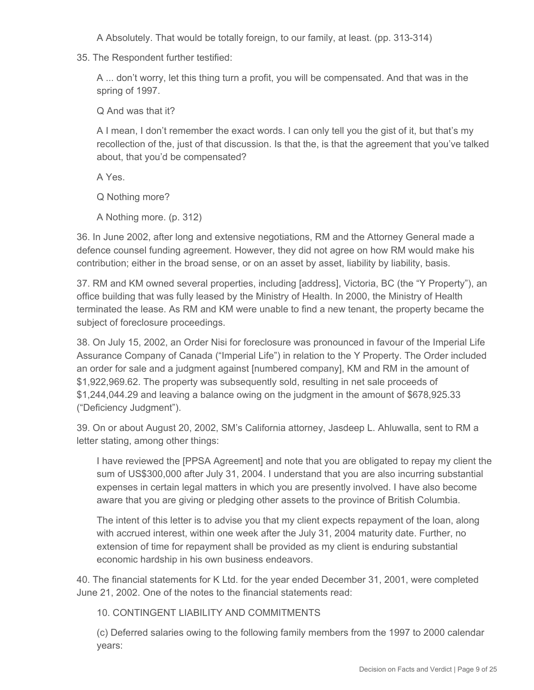A Absolutely. That would be totally foreign, to our family, at least. (pp. 313-314)

35. The Respondent further testified:

A ... don't worry, let this thing turn a profit, you will be compensated. And that was in the spring of 1997.

Q And was that it?

A I mean, I don't remember the exact words. I can only tell you the gist of it, but that's my recollection of the, just of that discussion. Is that the, is that the agreement that you've talked about, that you'd be compensated?

A Yes.

Q Nothing more?

A Nothing more. (p. 312)

36. In June 2002, after long and extensive negotiations, RM and the Attorney General made a defence counsel funding agreement. However, they did not agree on how RM would make his contribution; either in the broad sense, or on an asset by asset, liability by liability, basis.

37. RM and KM owned several properties, including [address], Victoria, BC (the "Y Property"), an office building that was fully leased by the Ministry of Health. In 2000, the Ministry of Health terminated the lease. As RM and KM were unable to find a new tenant, the property became the subject of foreclosure proceedings.

38. On July 15, 2002, an Order Nisi for foreclosure was pronounced in favour of the Imperial Life Assurance Company of Canada ("Imperial Life") in relation to the Y Property. The Order included an order for sale and a judgment against [numbered company], KM and RM in the amount of \$1,922,969.62. The property was subsequently sold, resulting in net sale proceeds of \$1,244,044.29 and leaving a balance owing on the judgment in the amount of \$678,925.33 ("Deficiency Judgment").

39. On or about August 20, 2002, SM's California attorney, Jasdeep L. Ahluwalla, sent to RM a letter stating, among other things:

I have reviewed the [PPSA Agreement] and note that you are obligated to repay my client the sum of US\$300,000 after July 31, 2004. I understand that you are also incurring substantial expenses in certain legal matters in which you are presently involved. I have also become aware that you are giving or pledging other assets to the province of British Columbia.

The intent of this letter is to advise you that my client expects repayment of the loan, along with accrued interest, within one week after the July 31, 2004 maturity date. Further, no extension of time for repayment shall be provided as my client is enduring substantial economic hardship in his own business endeavors.

40. The financial statements for K Ltd. for the year ended December 31, 2001, were completed June 21, 2002. One of the notes to the financial statements read:

10. CONTINGENT LIABILITY AND COMMITMENTS

(c) Deferred salaries owing to the following family members from the 1997 to 2000 calendar years: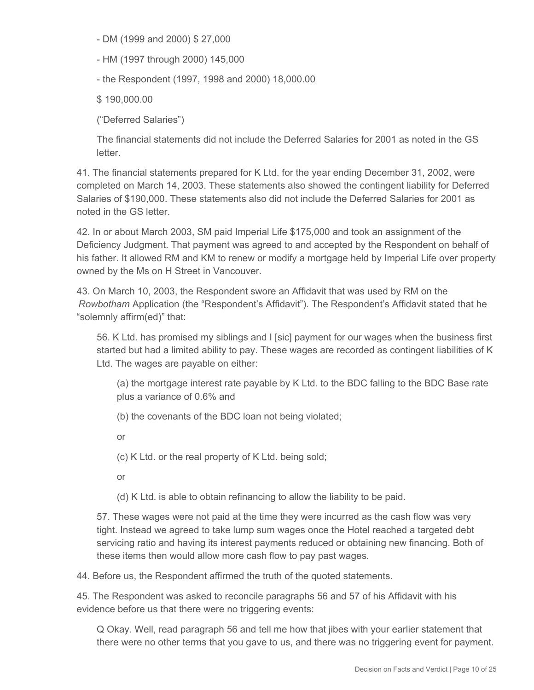- DM (1999 and 2000) \$ 27,000

- HM (1997 through 2000) 145,000

- the Respondent (1997, 1998 and 2000) 18,000.00

\$ 190,000.00

("Deferred Salaries")

The financial statements did not include the Deferred Salaries for 2001 as noted in the GS letter.

41. The financial statements prepared for K Ltd. for the year ending December 31, 2002, were completed on March 14, 2003. These statements also showed the contingent liability for Deferred Salaries of \$190,000. These statements also did not include the Deferred Salaries for 2001 as noted in the GS letter.

42. In or about March 2003, SM paid Imperial Life \$175,000 and took an assignment of the Deficiency Judgment. That payment was agreed to and accepted by the Respondent on behalf of his father. It allowed RM and KM to renew or modify a mortgage held by Imperial Life over property owned by the Ms on H Street in Vancouver.

43. On March 10, 2003, the Respondent swore an Affidavit that was used by RM on the *Rowbotham* Application (the "Respondent's Affidavit"). The Respondent's Affidavit stated that he "solemnly affirm(ed)" that:

56. K Ltd. has promised my siblings and I [sic] payment for our wages when the business first started but had a limited ability to pay. These wages are recorded as contingent liabilities of K Ltd. The wages are payable on either:

(a) the mortgage interest rate payable by K Ltd. to the BDC falling to the BDC Base rate plus a variance of 0.6% and

(b) the covenants of the BDC loan not being violated;

or

(c) K Ltd. or the real property of K Ltd. being sold;

or

(d) K Ltd. is able to obtain refinancing to allow the liability to be paid.

57. These wages were not paid at the time they were incurred as the cash flow was very tight. Instead we agreed to take lump sum wages once the Hotel reached a targeted debt servicing ratio and having its interest payments reduced or obtaining new financing. Both of these items then would allow more cash flow to pay past wages.

44. Before us, the Respondent affirmed the truth of the quoted statements.

45. The Respondent was asked to reconcile paragraphs 56 and 57 of his Affidavit with his evidence before us that there were no triggering events:

Q Okay. Well, read paragraph 56 and tell me how that jibes with your earlier statement that there were no other terms that you gave to us, and there was no triggering event for payment.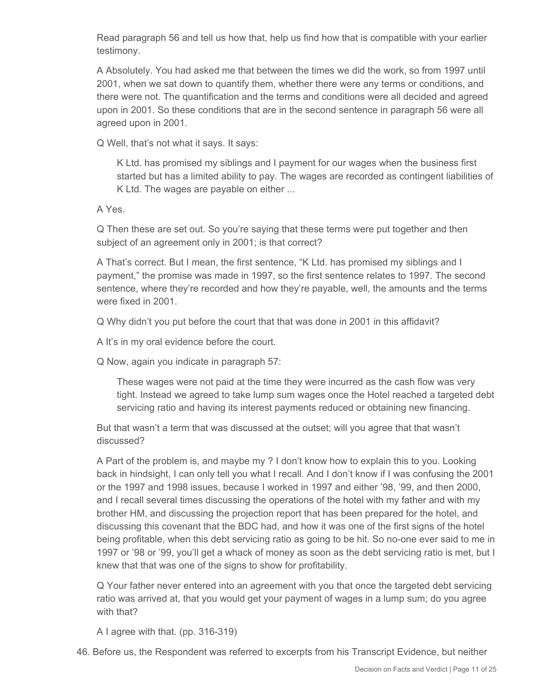Read paragraph 56 and tell us how that, help us find how that is compatible with your earlier testimony.

A Absolutely. You had asked me that between the times we did the work, so from 1997 until 2001, when we sat down to quantify them, whether there were any terms or conditions, and there were not. The quantification and the terms and conditions were all decided and agreed upon in 2001. So these conditions that are in the second sentence in paragraph 56 were all agreed upon in 2001.

Q Well, that's not what it says. It says:

K Ltd. has promised my siblings and I payment for our wages when the business first started but has a limited ability to pay. The wages are recorded as contingent liabilities of K Ltd. The wages are payable on either ...

A Yes.

Q Then these are set out. So you're saying that these terms were put together and then subject of an agreement only in 2001; is that correct?

A That's correct. But I mean, the first sentence, "K Ltd. has promised my siblings and I payment," the promise was made in 1997, so the first sentence relates to 1997. The second sentence, where they're recorded and how they're payable, well, the amounts and the terms were fixed in 2001.

Q Why didn't you put before the court that that was done in 2001 in this affidavit?

A It's in my oral evidence before the court.

Q Now, again you indicate in paragraph 57:

These wages were not paid at the time they were incurred as the cash flow was very tight. Instead we agreed to take lump sum wages once the Hotel reached a targeted debt servicing ratio and having its interest payments reduced or obtaining new financing.

But that wasn't a term that was discussed at the outset; will you agree that that wasn't discussed?

A Part of the problem is, and maybe my ? I don't know how to explain this to you. Looking back in hindsight, I can only tell you what I recall. And I don't know if I was confusing the 2001 or the 1997 and 1998 issues, because I worked in 1997 and either '98, '99, and then 2000, and I recall several times discussing the operations of the hotel with my father and with my brother HM, and discussing the projection report that has been prepared for the hotel, and discussing this covenant that the BDC had, and how it was one of the first signs of the hotel being profitable, when this debt servicing ratio as going to be hit. So no-one ever said to me in 1997 or '98 or '99, you'll get a whack of money as soon as the debt servicing ratio is met, but I knew that that was one of the signs to show for profitability.

Q Your father never entered into an agreement with you that once the targeted debt servicing ratio was arrived at, that you would get your payment of wages in a lump sum; do you agree with that?

A I agree with that. (pp. 316-319)

46. Before us, the Respondent was referred to excerpts from his Transcript Evidence, but neither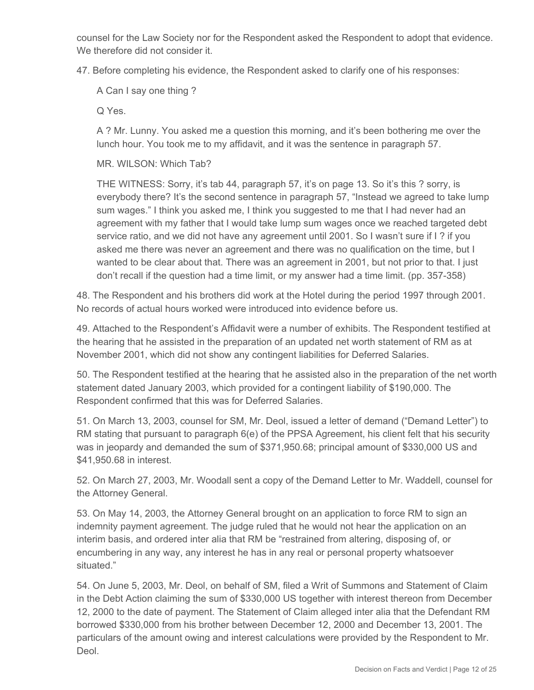counsel for the Law Society nor for the Respondent asked the Respondent to adopt that evidence. We therefore did not consider it.

47. Before completing his evidence, the Respondent asked to clarify one of his responses:

A Can I say one thing ?

Q Yes.

A ? Mr. Lunny. You asked me a question this morning, and it's been bothering me over the lunch hour. You took me to my affidavit, and it was the sentence in paragraph 57.

MR. WILSON: Which Tab?

THE WITNESS: Sorry, it's tab 44, paragraph 57, it's on page 13. So it's this ? sorry, is everybody there? It's the second sentence in paragraph 57, "Instead we agreed to take lump sum wages." I think you asked me, I think you suggested to me that I had never had an agreement with my father that I would take lump sum wages once we reached targeted debt service ratio, and we did not have any agreement until 2001. So I wasn't sure if I ? if you asked me there was never an agreement and there was no qualification on the time, but I wanted to be clear about that. There was an agreement in 2001, but not prior to that. I just don't recall if the question had a time limit, or my answer had a time limit. (pp. 357-358)

48. The Respondent and his brothers did work at the Hotel during the period 1997 through 2001. No records of actual hours worked were introduced into evidence before us.

49. Attached to the Respondent's Affidavit were a number of exhibits. The Respondent testified at the hearing that he assisted in the preparation of an updated net worth statement of RM as at November 2001, which did not show any contingent liabilities for Deferred Salaries.

50. The Respondent testified at the hearing that he assisted also in the preparation of the net worth statement dated January 2003, which provided for a contingent liability of \$190,000. The Respondent confirmed that this was for Deferred Salaries.

51. On March 13, 2003, counsel for SM, Mr. Deol, issued a letter of demand ("Demand Letter") to RM stating that pursuant to paragraph 6(e) of the PPSA Agreement, his client felt that his security was in jeopardy and demanded the sum of \$371,950.68; principal amount of \$330,000 US and \$41,950.68 in interest.

52. On March 27, 2003, Mr. Woodall sent a copy of the Demand Letter to Mr. Waddell, counsel for the Attorney General.

53. On May 14, 2003, the Attorney General brought on an application to force RM to sign an indemnity payment agreement. The judge ruled that he would not hear the application on an interim basis, and ordered inter alia that RM be "restrained from altering, disposing of, or encumbering in any way, any interest he has in any real or personal property whatsoever situated."

54. On June 5, 2003, Mr. Deol, on behalf of SM, filed a Writ of Summons and Statement of Claim in the Debt Action claiming the sum of \$330,000 US together with interest thereon from December 12, 2000 to the date of payment. The Statement of Claim alleged inter alia that the Defendant RM borrowed \$330,000 from his brother between December 12, 2000 and December 13, 2001. The particulars of the amount owing and interest calculations were provided by the Respondent to Mr. Deol.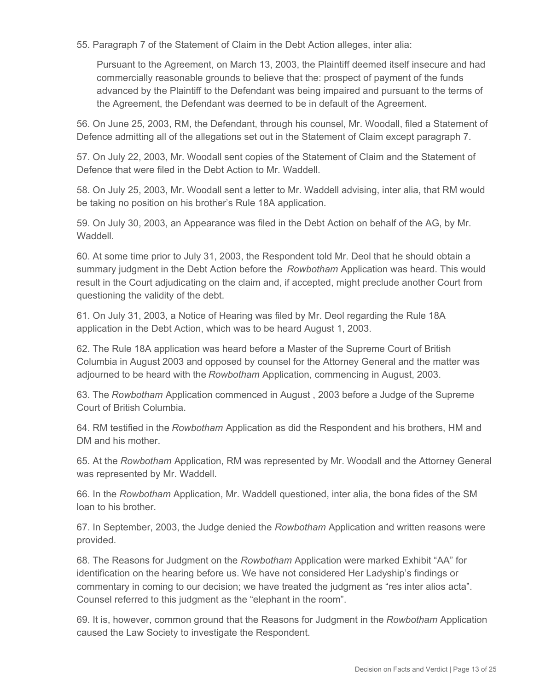55. Paragraph 7 of the Statement of Claim in the Debt Action alleges, inter alia:

Pursuant to the Agreement, on March 13, 2003, the Plaintiff deemed itself insecure and had commercially reasonable grounds to believe that the: prospect of payment of the funds advanced by the Plaintiff to the Defendant was being impaired and pursuant to the terms of the Agreement, the Defendant was deemed to be in default of the Agreement.

56. On June 25, 2003, RM, the Defendant, through his counsel, Mr. Woodall, filed a Statement of Defence admitting all of the allegations set out in the Statement of Claim except paragraph 7.

57. On July 22, 2003, Mr. Woodall sent copies of the Statement of Claim and the Statement of Defence that were filed in the Debt Action to Mr. Waddell.

58. On July 25, 2003, Mr. Woodall sent a letter to Mr. Waddell advising, inter alia, that RM would be taking no position on his brother's Rule 18A application.

59. On July 30, 2003, an Appearance was filed in the Debt Action on behalf of the AG, by Mr. Waddell.

60. At some time prior to July 31, 2003, the Respondent told Mr. Deol that he should obtain a summary judgment in the Debt Action before the *Rowbotham* Application was heard. This would result in the Court adjudicating on the claim and, if accepted, might preclude another Court from questioning the validity of the debt.

61. On July 31, 2003, a Notice of Hearing was filed by Mr. Deol regarding the Rule 18A application in the Debt Action, which was to be heard August 1, 2003.

62. The Rule 18A application was heard before a Master of the Supreme Court of British Columbia in August 2003 and opposed by counsel for the Attorney General and the matter was adjourned to be heard with the *Rowbotham* Application, commencing in August, 2003.

63. The *Rowbotham* Application commenced in August , 2003 before a Judge of the Supreme Court of British Columbia.

64. RM testified in the *Rowbotham* Application as did the Respondent and his brothers, HM and DM and his mother.

65. At the *Rowbotham* Application, RM was represented by Mr. Woodall and the Attorney General was represented by Mr. Waddell.

66. In the *Rowbotham* Application, Mr. Waddell questioned, inter alia, the bona fides of the SM loan to his brother.

67. In September, 2003, the Judge denied the *Rowbotham* Application and written reasons were provided.

68. The Reasons for Judgment on the *Rowbotham* Application were marked Exhibit "AA" for identification on the hearing before us. We have not considered Her Ladyship's findings or commentary in coming to our decision; we have treated the judgment as "res inter alios acta". Counsel referred to this judgment as the "elephant in the room".

69. It is, however, common ground that the Reasons for Judgment in the *Rowbotham* Application caused the Law Society to investigate the Respondent.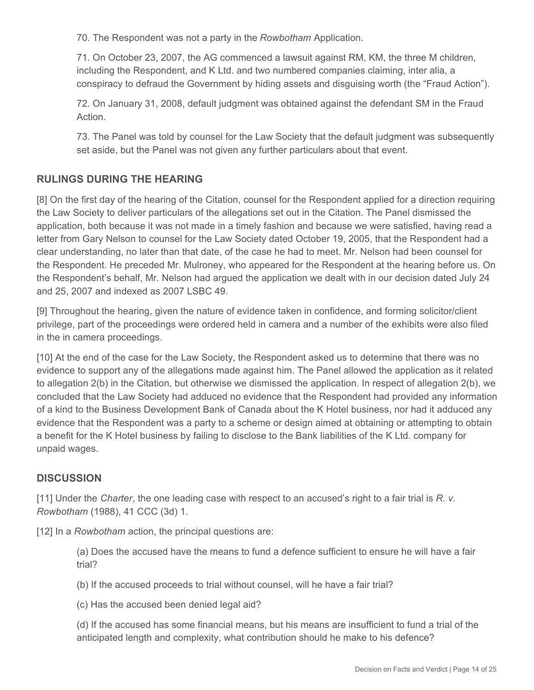70. The Respondent was not a party in the *Rowbotham* Application.

71. On October 23, 2007, the AG commenced a lawsuit against RM, KM, the three M children, including the Respondent, and K Ltd. and two numbered companies claiming, inter alia, a conspiracy to defraud the Government by hiding assets and disguising worth (the "Fraud Action").

72. On January 31, 2008, default judgment was obtained against the defendant SM in the Fraud Action.

73. The Panel was told by counsel for the Law Society that the default judgment was subsequently set aside, but the Panel was not given any further particulars about that event.

# **RULINGS DURING THE HEARING**

[8] On the first day of the hearing of the Citation, counsel for the Respondent applied for a direction requiring the Law Society to deliver particulars of the allegations set out in the Citation. The Panel dismissed the application, both because it was not made in a timely fashion and because we were satisfied, having read a letter from Gary Nelson to counsel for the Law Society dated October 19, 2005, that the Respondent had a clear understanding, no later than that date, of the case he had to meet. Mr. Nelson had been counsel for the Respondent. He preceded Mr. Mulroney, who appeared for the Respondent at the hearing before us. On the Respondent's behalf, Mr. Nelson had argued the application we dealt with in our decision dated July 24 and 25, 2007 and indexed as 2007 LSBC 49.

[9] Throughout the hearing, given the nature of evidence taken in confidence, and forming solicitor/client privilege, part of the proceedings were ordered held in camera and a number of the exhibits were also filed in the in camera proceedings.

[10] At the end of the case for the Law Society, the Respondent asked us to determine that there was no evidence to support any of the allegations made against him. The Panel allowed the application as it related to allegation 2(b) in the Citation, but otherwise we dismissed the application. In respect of allegation 2(b), we concluded that the Law Society had adduced no evidence that the Respondent had provided any information of a kind to the Business Development Bank of Canada about the K Hotel business, nor had it adduced any evidence that the Respondent was a party to a scheme or design aimed at obtaining or attempting to obtain a benefit for the K Hotel business by failing to disclose to the Bank liabilities of the K Ltd. company for unpaid wages.

# **DISCUSSION**

[11] Under the *Charter*, the one leading case with respect to an accused's right to a fair trial is *R. v. Rowbotham* (1988), 41 CCC (3d) 1.

[12] In a *Rowbotham* action, the principal questions are:

(a) Does the accused have the means to fund a defence sufficient to ensure he will have a fair trial?

(b) If the accused proceeds to trial without counsel, will he have a fair trial?

(c) Has the accused been denied legal aid?

(d) If the accused has some financial means, but his means are insufficient to fund a trial of the anticipated length and complexity, what contribution should he make to his defence?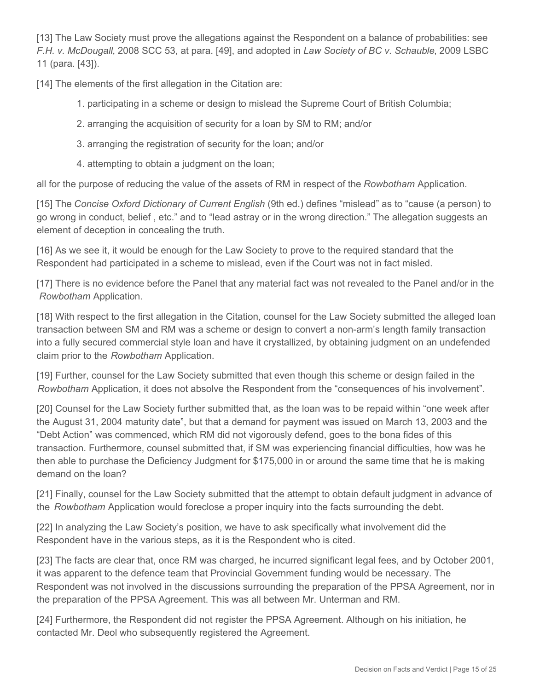[13] The Law Society must prove the allegations against the Respondent on a balance of probabilities: see *F.H. v. McDougall*, 2008 SCC 53, at para. [49], and adopted in *Law Society of BC v. Schauble*, 2009 LSBC 11 (para. [43]).

[14] The elements of the first allegation in the Citation are:

- 1. participating in a scheme or design to mislead the Supreme Court of British Columbia;
- 2. arranging the acquisition of security for a loan by SM to RM; and/or
- 3. arranging the registration of security for the loan; and/or
- 4. attempting to obtain a judgment on the loan;

all for the purpose of reducing the value of the assets of RM in respect of the *Rowbotham* Application.

[15] The *Concise Oxford Dictionary of Current English* (9th ed.) defines "mislead" as to "cause (a person) to go wrong in conduct, belief , etc." and to "lead astray or in the wrong direction." The allegation suggests an element of deception in concealing the truth.

[16] As we see it, it would be enough for the Law Society to prove to the required standard that the Respondent had participated in a scheme to mislead, even if the Court was not in fact misled.

[17] There is no evidence before the Panel that any material fact was not revealed to the Panel and/or in the *Rowbotham* Application.

[18] With respect to the first allegation in the Citation, counsel for the Law Society submitted the alleged loan transaction between SM and RM was a scheme or design to convert a non-arm's length family transaction into a fully secured commercial style loan and have it crystallized, by obtaining judgment on an undefended claim prior to the *Rowbotham* Application.

[19] Further, counsel for the Law Society submitted that even though this scheme or design failed in the *Rowbotham* Application, it does not absolve the Respondent from the "consequences of his involvement".

[20] Counsel for the Law Society further submitted that, as the loan was to be repaid within "one week after the August 31, 2004 maturity date", but that a demand for payment was issued on March 13, 2003 and the "Debt Action" was commenced, which RM did not vigorously defend, goes to the bona fides of this transaction. Furthermore, counsel submitted that, if SM was experiencing financial difficulties, how was he then able to purchase the Deficiency Judgment for \$175,000 in or around the same time that he is making demand on the loan?

[21] Finally, counsel for the Law Society submitted that the attempt to obtain default judgment in advance of the *Rowbotham* Application would foreclose a proper inquiry into the facts surrounding the debt.

[22] In analyzing the Law Society's position, we have to ask specifically what involvement did the Respondent have in the various steps, as it is the Respondent who is cited.

[23] The facts are clear that, once RM was charged, he incurred significant legal fees, and by October 2001, it was apparent to the defence team that Provincial Government funding would be necessary. The Respondent was not involved in the discussions surrounding the preparation of the PPSA Agreement, nor in the preparation of the PPSA Agreement. This was all between Mr. Unterman and RM.

[24] Furthermore, the Respondent did not register the PPSA Agreement. Although on his initiation, he contacted Mr. Deol who subsequently registered the Agreement.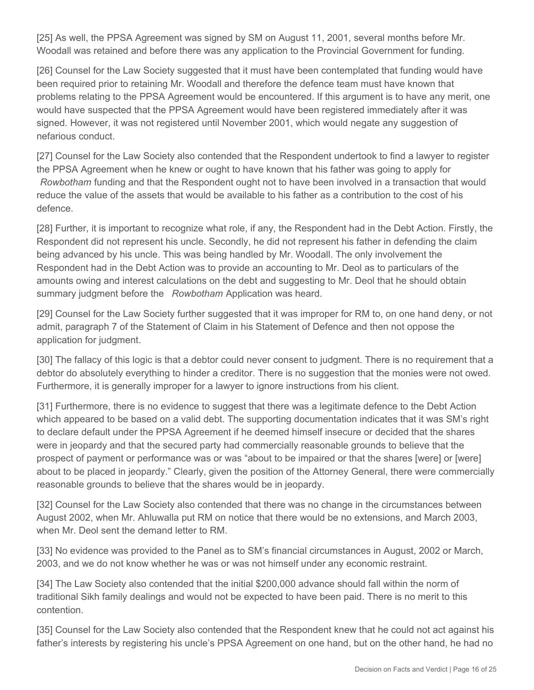[25] As well, the PPSA Agreement was signed by SM on August 11, 2001, several months before Mr. Woodall was retained and before there was any application to the Provincial Government for funding.

[26] Counsel for the Law Society suggested that it must have been contemplated that funding would have been required prior to retaining Mr. Woodall and therefore the defence team must have known that problems relating to the PPSA Agreement would be encountered. If this argument is to have any merit, one would have suspected that the PPSA Agreement would have been registered immediately after it was signed. However, it was not registered until November 2001, which would negate any suggestion of nefarious conduct.

[27] Counsel for the Law Society also contended that the Respondent undertook to find a lawyer to register the PPSA Agreement when he knew or ought to have known that his father was going to apply for *Rowbotham* funding and that the Respondent ought not to have been involved in a transaction that would reduce the value of the assets that would be available to his father as a contribution to the cost of his defence.

[28] Further, it is important to recognize what role, if any, the Respondent had in the Debt Action. Firstly, the Respondent did not represent his uncle. Secondly, he did not represent his father in defending the claim being advanced by his uncle. This was being handled by Mr. Woodall. The only involvement the Respondent had in the Debt Action was to provide an accounting to Mr. Deol as to particulars of the amounts owing and interest calculations on the debt and suggesting to Mr. Deol that he should obtain summary judgment before the *Rowbotham* Application was heard.

[29] Counsel for the Law Society further suggested that it was improper for RM to, on one hand deny, or not admit, paragraph 7 of the Statement of Claim in his Statement of Defence and then not oppose the application for judgment.

[30] The fallacy of this logic is that a debtor could never consent to judgment. There is no requirement that a debtor do absolutely everything to hinder a creditor. There is no suggestion that the monies were not owed. Furthermore, it is generally improper for a lawyer to ignore instructions from his client.

[31] Furthermore, there is no evidence to suggest that there was a legitimate defence to the Debt Action which appeared to be based on a valid debt. The supporting documentation indicates that it was SM's right to declare default under the PPSA Agreement if he deemed himself insecure or decided that the shares were in jeopardy and that the secured party had commercially reasonable grounds to believe that the prospect of payment or performance was or was "about to be impaired or that the shares [were] or [were] about to be placed in jeopardy." Clearly, given the position of the Attorney General, there were commercially reasonable grounds to believe that the shares would be in jeopardy.

[32] Counsel for the Law Society also contended that there was no change in the circumstances between August 2002, when Mr. Ahluwalla put RM on notice that there would be no extensions, and March 2003, when Mr. Deol sent the demand letter to RM.

[33] No evidence was provided to the Panel as to SM's financial circumstances in August, 2002 or March, 2003, and we do not know whether he was or was not himself under any economic restraint.

[34] The Law Society also contended that the initial \$200,000 advance should fall within the norm of traditional Sikh family dealings and would not be expected to have been paid. There is no merit to this contention.

[35] Counsel for the Law Society also contended that the Respondent knew that he could not act against his father's interests by registering his uncle's PPSA Agreement on one hand, but on the other hand, he had no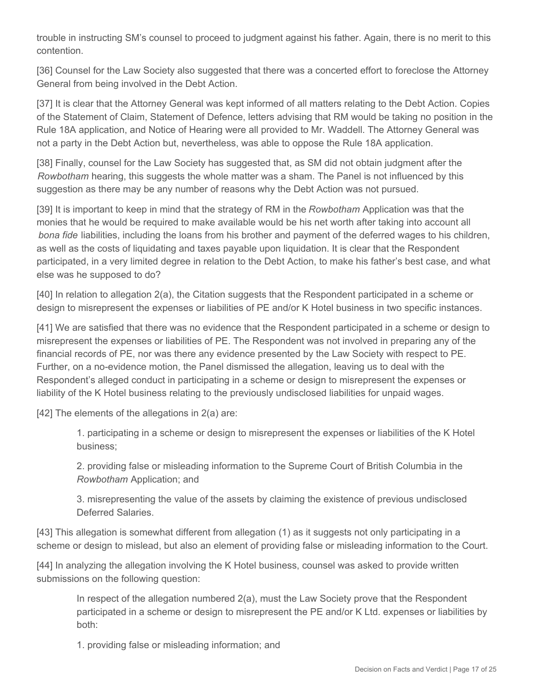trouble in instructing SM's counsel to proceed to judgment against his father. Again, there is no merit to this contention.

[36] Counsel for the Law Society also suggested that there was a concerted effort to foreclose the Attorney General from being involved in the Debt Action.

[37] It is clear that the Attorney General was kept informed of all matters relating to the Debt Action. Copies of the Statement of Claim, Statement of Defence, letters advising that RM would be taking no position in the Rule 18A application, and Notice of Hearing were all provided to Mr. Waddell. The Attorney General was not a party in the Debt Action but, nevertheless, was able to oppose the Rule 18A application.

[38] Finally, counsel for the Law Society has suggested that, as SM did not obtain judgment after the *Rowbotham* hearing, this suggests the whole matter was a sham. The Panel is not influenced by this suggestion as there may be any number of reasons why the Debt Action was not pursued.

[39] It is important to keep in mind that the strategy of RM in the *Rowbotham* Application was that the monies that he would be required to make available would be his net worth after taking into account all *bona fide* liabilities, including the loans from his brother and payment of the deferred wages to his children, as well as the costs of liquidating and taxes payable upon liquidation. It is clear that the Respondent participated, in a very limited degree in relation to the Debt Action, to make his father's best case, and what else was he supposed to do?

[40] In relation to allegation 2(a), the Citation suggests that the Respondent participated in a scheme or design to misrepresent the expenses or liabilities of PE and/or K Hotel business in two specific instances.

[41] We are satisfied that there was no evidence that the Respondent participated in a scheme or design to misrepresent the expenses or liabilities of PE. The Respondent was not involved in preparing any of the financial records of PE, nor was there any evidence presented by the Law Society with respect to PE. Further, on a no-evidence motion, the Panel dismissed the allegation, leaving us to deal with the Respondent's alleged conduct in participating in a scheme or design to misrepresent the expenses or liability of the K Hotel business relating to the previously undisclosed liabilities for unpaid wages.

 $[42]$  The elements of the allegations in  $2(a)$  are:

1. participating in a scheme or design to misrepresent the expenses or liabilities of the K Hotel business;

2. providing false or misleading information to the Supreme Court of British Columbia in the *Rowbotham* Application; and

3. misrepresenting the value of the assets by claiming the existence of previous undisclosed Deferred Salaries.

[43] This allegation is somewhat different from allegation (1) as it suggests not only participating in a scheme or design to mislead, but also an element of providing false or misleading information to the Court.

[44] In analyzing the allegation involving the K Hotel business, counsel was asked to provide written submissions on the following question:

In respect of the allegation numbered 2(a), must the Law Society prove that the Respondent participated in a scheme or design to misrepresent the PE and/or K Ltd. expenses or liabilities by both:

1. providing false or misleading information; and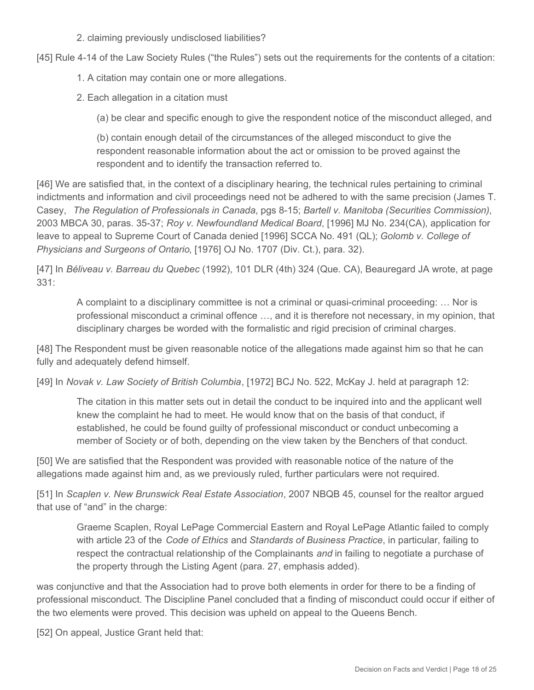2. claiming previously undisclosed liabilities?

[45] Rule 4-14 of the Law Society Rules ("the Rules") sets out the requirements for the contents of a citation:

- 1. A citation may contain one or more allegations.
- 2. Each allegation in a citation must

(a) be clear and specific enough to give the respondent notice of the misconduct alleged, and

(b) contain enough detail of the circumstances of the alleged misconduct to give the respondent reasonable information about the act or omission to be proved against the respondent and to identify the transaction referred to.

[46] We are satisfied that, in the context of a disciplinary hearing, the technical rules pertaining to criminal indictments and information and civil proceedings need not be adhered to with the same precision (James T. Casey, *The Regulation of Professionals in Canada*, pgs 8-15; *Bartell v. Manitoba (Securities Commission)*, 2003 MBCA 30, paras. 35-37; *Roy v. Newfoundland Medical Board*, [1996] MJ No. 234(CA), application for leave to appeal to Supreme Court of Canada denied [1996] SCCA No. 491 (QL); *Golomb v. College of Physicians and Surgeons of Ontario*, [1976] OJ No. 1707 (Div. Ct.), para. 32).

[47] In *Béliveau v. Barreau du Quebec* (1992), 101 DLR (4th) 324 (Que. CA), Beauregard JA wrote, at page 331:

A complaint to a disciplinary committee is not a criminal or quasi-criminal proceeding: … Nor is professional misconduct a criminal offence …, and it is therefore not necessary, in my opinion, that disciplinary charges be worded with the formalistic and rigid precision of criminal charges.

[48] The Respondent must be given reasonable notice of the allegations made against him so that he can fully and adequately defend himself.

[49] In *Novak v. Law Society of British Columbia*, [1972] BCJ No. 522, McKay J. held at paragraph 12:

The citation in this matter sets out in detail the conduct to be inquired into and the applicant well knew the complaint he had to meet. He would know that on the basis of that conduct, if established, he could be found guilty of professional misconduct or conduct unbecoming a member of Society or of both, depending on the view taken by the Benchers of that conduct.

[50] We are satisfied that the Respondent was provided with reasonable notice of the nature of the allegations made against him and, as we previously ruled, further particulars were not required.

[51] In *Scaplen v. New Brunswick Real Estate Association*, 2007 NBQB 45, counsel for the realtor argued that use of "and" in the charge:

Graeme Scaplen, Royal LePage Commercial Eastern and Royal LePage Atlantic failed to comply with article 23 of the *Code of Ethics* and *Standards of Business Practice*, in particular, failing to respect the contractual relationship of the Complainants *and* in failing to negotiate a purchase of the property through the Listing Agent (para. 27, emphasis added).

was conjunctive and that the Association had to prove both elements in order for there to be a finding of professional misconduct. The Discipline Panel concluded that a finding of misconduct could occur if either of the two elements were proved. This decision was upheld on appeal to the Queens Bench.

[52] On appeal, Justice Grant held that: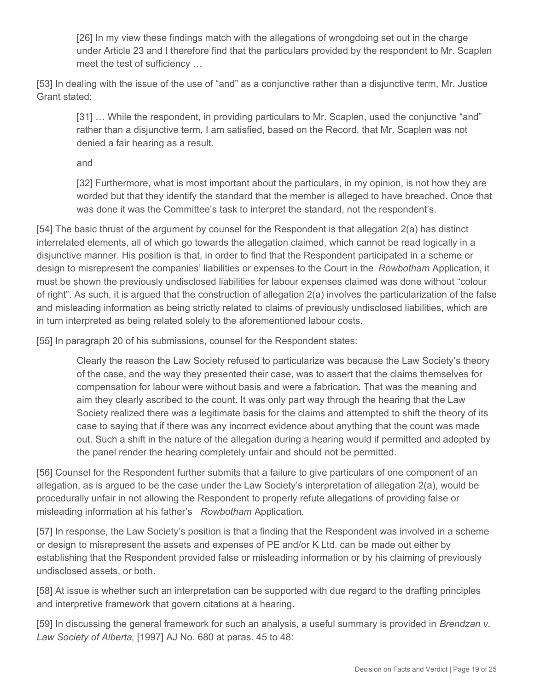[26] In my view these findings match with the allegations of wrongdoing set out in the charge under Article 23 and I therefore find that the particulars provided by the respondent to Mr. Scaplen meet the test of sufficiency …

[53] In dealing with the issue of the use of "and" as a conjunctive rather than a disjunctive term, Mr. Justice Grant stated:

[31] … While the respondent, in providing particulars to Mr. Scaplen, used the conjunctive "and" rather than a disjunctive term, I am satisfied, based on the Record, that Mr. Scaplen was not denied a fair hearing as a result.

and

[32] Furthermore, what is most important about the particulars, in my opinion, is not how they are worded but that they identify the standard that the member is alleged to have breached. Once that was done it was the Committee's task to interpret the standard, not the respondent's.

[54] The basic thrust of the argument by counsel for the Respondent is that allegation 2(a) has distinct interrelated elements, all of which go towards the allegation claimed, which cannot be read logically in a disjunctive manner. His position is that, in order to find that the Respondent participated in a scheme or design to misrepresent the companies' liabilities or expenses to the Court in the *Rowbotham* Application, it must be shown the previously undisclosed liabilities for labour expenses claimed was done without "colour of right". As such, it is argued that the construction of allegation 2(a) involves the particularization of the false and misleading information as being strictly related to claims of previously undisclosed liabilities, which are in turn interpreted as being related solely to the aforementioned labour costs.

[55] In paragraph 20 of his submissions, counsel for the Respondent states:

Clearly the reason the Law Society refused to particularize was because the Law Society's theory of the case, and the way they presented their case, was to assert that the claims themselves for compensation for labour were without basis and were a fabrication. That was the meaning and aim they clearly ascribed to the count. It was only part way through the hearing that the Law Society realized there was a legitimate basis for the claims and attempted to shift the theory of its case to saying that if there was any incorrect evidence about anything that the count was made out. Such a shift in the nature of the allegation during a hearing would if permitted and adopted by the panel render the hearing completely unfair and should not be permitted.

[56] Counsel for the Respondent further submits that a failure to give particulars of one component of an allegation, as is argued to be the case under the Law Society's interpretation of allegation 2(a), would be procedurally unfair in not allowing the Respondent to properly refute allegations of providing false or misleading information at his father's *Rowbotham* Application.

[57] In response, the Law Society's position is that a finding that the Respondent was involved in a scheme or design to misrepresent the assets and expenses of PE and/or K Ltd. can be made out either by establishing that the Respondent provided false or misleading information or by his claiming of previously undisclosed assets, or both.

[58] At issue is whether such an interpretation can be supported with due regard to the drafting principles and interpretive framework that govern citations at a hearing.

[59] In discussing the general framework for such an analysis, a useful summary is provided in *Brendzan v. Law Society of Alberta*, [1997] AJ No. 680 at paras. 45 to 48: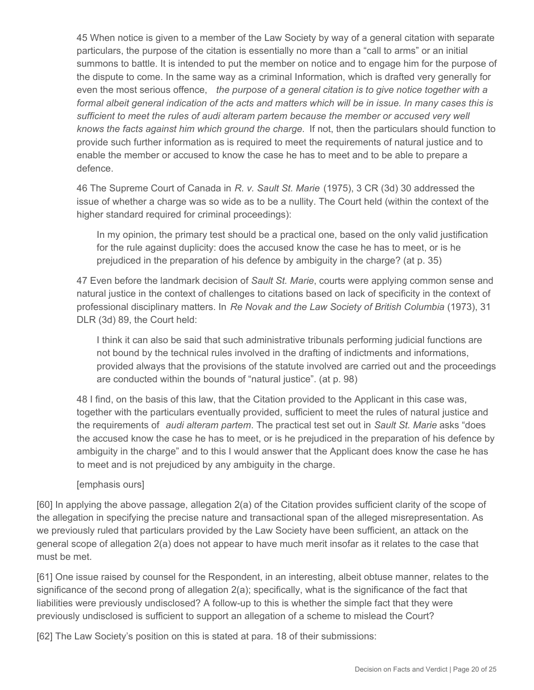45 When notice is given to a member of the Law Society by way of a general citation with separate particulars, the purpose of the citation is essentially no more than a "call to arms" or an initial summons to battle. It is intended to put the member on notice and to engage him for the purpose of the dispute to come. In the same way as a criminal Information, which is drafted very generally for even the most serious offence, *the purpose of a general citation is to give notice together with a formal albeit general indication of the acts and matters which will be in issue. In many cases this is sufficient to meet the rules of audi alteram partem because the member or accused very well knows the facts against him which ground the charge.* If not, then the particulars should function to provide such further information as is required to meet the requirements of natural justice and to enable the member or accused to know the case he has to meet and to be able to prepare a defence.

46 The Supreme Court of Canada in *R. v. Sault St. Marie* (1975), 3 CR (3d) 30 addressed the issue of whether a charge was so wide as to be a nullity. The Court held (within the context of the higher standard required for criminal proceedings):

In my opinion, the primary test should be a practical one, based on the only valid justification for the rule against duplicity: does the accused know the case he has to meet, or is he prejudiced in the preparation of his defence by ambiguity in the charge? (at p. 35)

47 Even before the landmark decision of *Sault St. Marie*, courts were applying common sense and natural justice in the context of challenges to citations based on lack of specificity in the context of professional disciplinary matters. In *Re Novak and the Law Society of British Columbia* (1973), 31 DLR (3d) 89, the Court held:

I think it can also be said that such administrative tribunals performing judicial functions are not bound by the technical rules involved in the drafting of indictments and informations, provided always that the provisions of the statute involved are carried out and the proceedings are conducted within the bounds of "natural justice". (at p. 98)

48 I find, on the basis of this law, that the Citation provided to the Applicant in this case was, together with the particulars eventually provided, sufficient to meet the rules of natural justice and the requirements of *audi alteram partem*. The practical test set out in *Sault St. Marie* asks "does the accused know the case he has to meet, or is he prejudiced in the preparation of his defence by ambiguity in the charge" and to this I would answer that the Applicant does know the case he has to meet and is not prejudiced by any ambiguity in the charge.

[emphasis ours]

[60] In applying the above passage, allegation 2(a) of the Citation provides sufficient clarity of the scope of the allegation in specifying the precise nature and transactional span of the alleged misrepresentation. As we previously ruled that particulars provided by the Law Society have been sufficient, an attack on the general scope of allegation 2(a) does not appear to have much merit insofar as it relates to the case that must be met.

[61] One issue raised by counsel for the Respondent, in an interesting, albeit obtuse manner, relates to the significance of the second prong of allegation 2(a); specifically, what is the significance of the fact that liabilities were previously undisclosed? A follow-up to this is whether the simple fact that they were previously undisclosed is sufficient to support an allegation of a scheme to mislead the Court?

[62] The Law Society's position on this is stated at para. 18 of their submissions: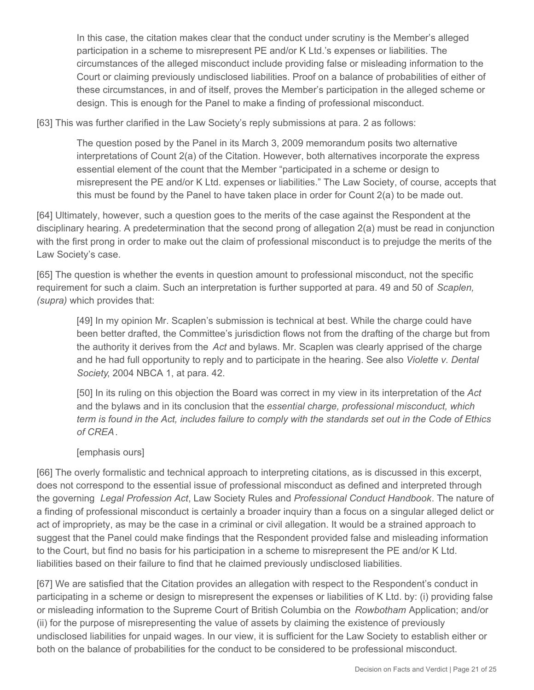In this case, the citation makes clear that the conduct under scrutiny is the Member's alleged participation in a scheme to misrepresent PE and/or K Ltd.'s expenses or liabilities. The circumstances of the alleged misconduct include providing false or misleading information to the Court or claiming previously undisclosed liabilities. Proof on a balance of probabilities of either of these circumstances, in and of itself, proves the Member's participation in the alleged scheme or design. This is enough for the Panel to make a finding of professional misconduct.

[63] This was further clarified in the Law Society's reply submissions at para. 2 as follows:

The question posed by the Panel in its March 3, 2009 memorandum posits two alternative interpretations of Count 2(a) of the Citation. However, both alternatives incorporate the express essential element of the count that the Member "participated in a scheme or design to misrepresent the PE and/or K Ltd. expenses or liabilities." The Law Society, of course, accepts that this must be found by the Panel to have taken place in order for Count 2(a) to be made out.

[64] Ultimately, however, such a question goes to the merits of the case against the Respondent at the disciplinary hearing. A predetermination that the second prong of allegation 2(a) must be read in conjunction with the first prong in order to make out the claim of professional misconduct is to prejudge the merits of the Law Society's case.

[65] The question is whether the events in question amount to professional misconduct, not the specific requirement for such a claim. Such an interpretation is further supported at para. 49 and 50 of *Scaplen, (supra)* which provides that:

[49] In my opinion Mr. Scaplen's submission is technical at best. While the charge could have been better drafted, the Committee's jurisdiction flows not from the drafting of the charge but from the authority it derives from the *Act* and bylaws. Mr. Scaplen was clearly apprised of the charge and he had full opportunity to reply and to participate in the hearing. See also *Violette v. Dental Society*, 2004 NBCA 1, at para. 42.

[50] In its ruling on this objection the Board was correct in my view in its interpretation of the *Act*  and the bylaws and in its conclusion that the *essential charge, professional misconduct, which term is found in the Act, includes failure to comply with the standards set out in the Code of Ethics of CREA*.

#### [emphasis ours]

[66] The overly formalistic and technical approach to interpreting citations, as is discussed in this excerpt, does not correspond to the essential issue of professional misconduct as defined and interpreted through the governing *Legal Profession Act*, Law Society Rules and *Professional Conduct Handbook*. The nature of a finding of professional misconduct is certainly a broader inquiry than a focus on a singular alleged delict or act of impropriety, as may be the case in a criminal or civil allegation. It would be a strained approach to suggest that the Panel could make findings that the Respondent provided false and misleading information to the Court, but find no basis for his participation in a scheme to misrepresent the PE and/or K Ltd. liabilities based on their failure to find that he claimed previously undisclosed liabilities.

[67] We are satisfied that the Citation provides an allegation with respect to the Respondent's conduct in participating in a scheme or design to misrepresent the expenses or liabilities of K Ltd. by: (i) providing false or misleading information to the Supreme Court of British Columbia on the *Rowbotham* Application; and/or (ii) for the purpose of misrepresenting the value of assets by claiming the existence of previously undisclosed liabilities for unpaid wages. In our view, it is sufficient for the Law Society to establish either or both on the balance of probabilities for the conduct to be considered to be professional misconduct.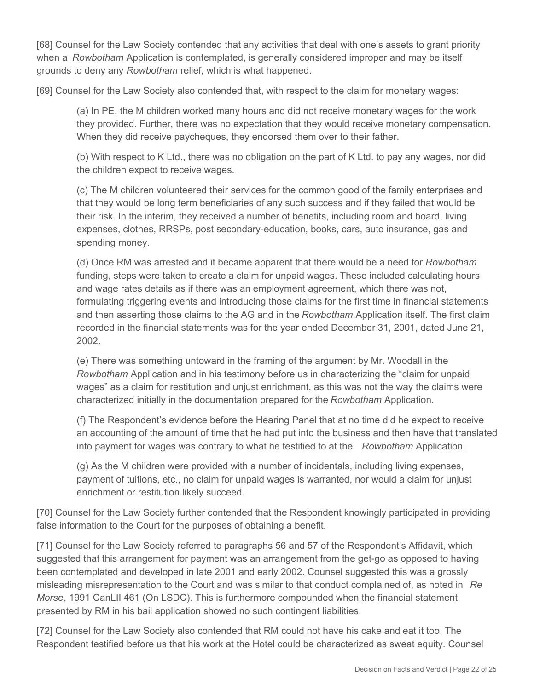[68] Counsel for the Law Society contended that any activities that deal with one's assets to grant priority when a *Rowbotham* Application is contemplated, is generally considered improper and may be itself grounds to deny any *Rowbotham* relief, which is what happened.

[69] Counsel for the Law Society also contended that, with respect to the claim for monetary wages:

(a) In PE, the M children worked many hours and did not receive monetary wages for the work they provided. Further, there was no expectation that they would receive monetary compensation. When they did receive paycheques, they endorsed them over to their father.

(b) With respect to K Ltd., there was no obligation on the part of K Ltd. to pay any wages, nor did the children expect to receive wages.

(c) The M children volunteered their services for the common good of the family enterprises and that they would be long term beneficiaries of any such success and if they failed that would be their risk. In the interim, they received a number of benefits, including room and board, living expenses, clothes, RRSPs, post secondary-education, books, cars, auto insurance, gas and spending money.

(d) Once RM was arrested and it became apparent that there would be a need for *Rowbotham*  funding, steps were taken to create a claim for unpaid wages. These included calculating hours and wage rates details as if there was an employment agreement, which there was not, formulating triggering events and introducing those claims for the first time in financial statements and then asserting those claims to the AG and in the *Rowbotham* Application itself. The first claim recorded in the financial statements was for the year ended December 31, 2001, dated June 21, 2002.

(e) There was something untoward in the framing of the argument by Mr. Woodall in the *Rowbotham* Application and in his testimony before us in characterizing the "claim for unpaid wages" as a claim for restitution and unjust enrichment, as this was not the way the claims were characterized initially in the documentation prepared for the *Rowbotham* Application.

(f) The Respondent's evidence before the Hearing Panel that at no time did he expect to receive an accounting of the amount of time that he had put into the business and then have that translated into payment for wages was contrary to what he testified to at the *Rowbotham* Application.

(g) As the M children were provided with a number of incidentals, including living expenses, payment of tuitions, etc., no claim for unpaid wages is warranted, nor would a claim for unjust enrichment or restitution likely succeed.

[70] Counsel for the Law Society further contended that the Respondent knowingly participated in providing false information to the Court for the purposes of obtaining a benefit.

[71] Counsel for the Law Society referred to paragraphs 56 and 57 of the Respondent's Affidavit, which suggested that this arrangement for payment was an arrangement from the get-go as opposed to having been contemplated and developed in late 2001 and early 2002. Counsel suggested this was a grossly misleading misrepresentation to the Court and was similar to that conduct complained of, as noted in *Re Morse*, 1991 CanLII 461 (On LSDC). This is furthermore compounded when the financial statement presented by RM in his bail application showed no such contingent liabilities.

[72] Counsel for the Law Society also contended that RM could not have his cake and eat it too. The Respondent testified before us that his work at the Hotel could be characterized as sweat equity. Counsel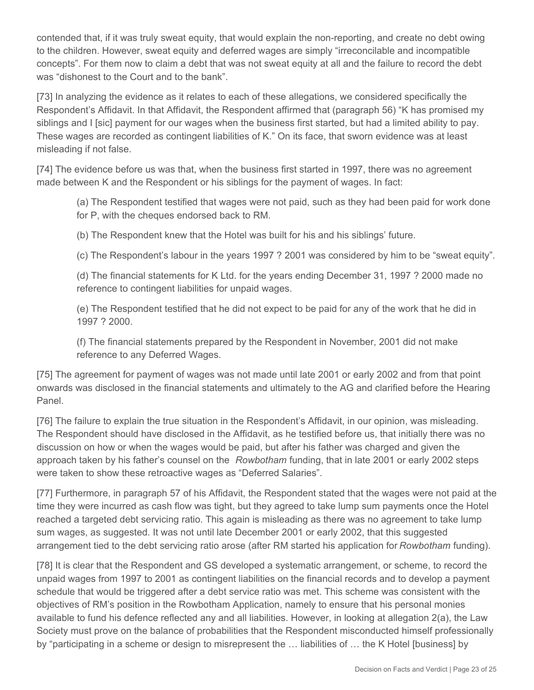contended that, if it was truly sweat equity, that would explain the non-reporting, and create no debt owing to the children. However, sweat equity and deferred wages are simply "irreconcilable and incompatible concepts". For them now to claim a debt that was not sweat equity at all and the failure to record the debt was "dishonest to the Court and to the bank".

[73] In analyzing the evidence as it relates to each of these allegations, we considered specifically the Respondent's Affidavit. In that Affidavit, the Respondent affirmed that (paragraph 56) "K has promised my siblings and I [sic] payment for our wages when the business first started, but had a limited ability to pay. These wages are recorded as contingent liabilities of K." On its face, that sworn evidence was at least misleading if not false.

[74] The evidence before us was that, when the business first started in 1997, there was no agreement made between K and the Respondent or his siblings for the payment of wages. In fact:

(a) The Respondent testified that wages were not paid, such as they had been paid for work done for P, with the cheques endorsed back to RM.

(b) The Respondent knew that the Hotel was built for his and his siblings' future.

(c) The Respondent's labour in the years 1997 ? 2001 was considered by him to be "sweat equity".

(d) The financial statements for K Ltd. for the years ending December 31, 1997 ? 2000 made no reference to contingent liabilities for unpaid wages.

(e) The Respondent testified that he did not expect to be paid for any of the work that he did in 1997 ? 2000.

(f) The financial statements prepared by the Respondent in November, 2001 did not make reference to any Deferred Wages.

[75] The agreement for payment of wages was not made until late 2001 or early 2002 and from that point onwards was disclosed in the financial statements and ultimately to the AG and clarified before the Hearing Panel.

[76] The failure to explain the true situation in the Respondent's Affidavit, in our opinion, was misleading. The Respondent should have disclosed in the Affidavit, as he testified before us, that initially there was no discussion on how or when the wages would be paid, but after his father was charged and given the approach taken by his father's counsel on the *Rowbotham* funding, that in late 2001 or early 2002 steps were taken to show these retroactive wages as "Deferred Salaries".

[77] Furthermore, in paragraph 57 of his Affidavit, the Respondent stated that the wages were not paid at the time they were incurred as cash flow was tight, but they agreed to take lump sum payments once the Hotel reached a targeted debt servicing ratio. This again is misleading as there was no agreement to take lump sum wages, as suggested. It was not until late December 2001 or early 2002, that this suggested arrangement tied to the debt servicing ratio arose (after RM started his application for *Rowbotham* funding).

[78] It is clear that the Respondent and GS developed a systematic arrangement, or scheme, to record the unpaid wages from 1997 to 2001 as contingent liabilities on the financial records and to develop a payment schedule that would be triggered after a debt service ratio was met. This scheme was consistent with the objectives of RM's position in the Rowbotham Application, namely to ensure that his personal monies available to fund his defence reflected any and all liabilities. However, in looking at allegation 2(a), the Law Society must prove on the balance of probabilities that the Respondent misconducted himself professionally by "participating in a scheme or design to misrepresent the … liabilities of … the K Hotel [business] by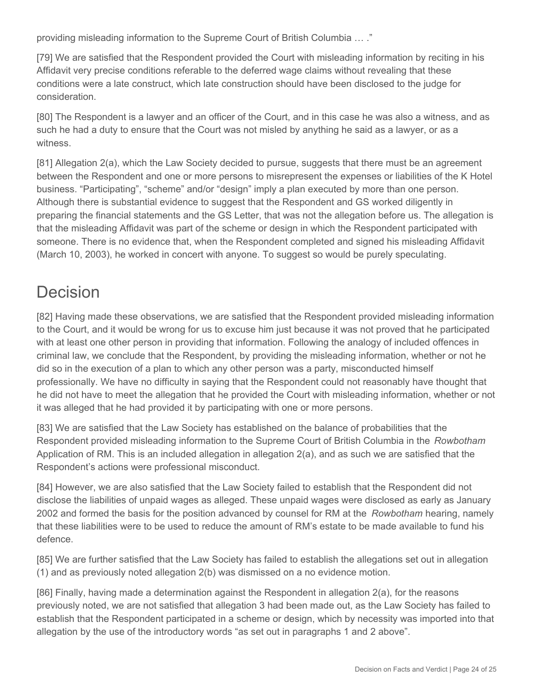providing misleading information to the Supreme Court of British Columbia … ."

[79] We are satisfied that the Respondent provided the Court with misleading information by reciting in his Affidavit very precise conditions referable to the deferred wage claims without revealing that these conditions were a late construct, which late construction should have been disclosed to the judge for consideration.

[80] The Respondent is a lawyer and an officer of the Court, and in this case he was also a witness, and as such he had a duty to ensure that the Court was not misled by anything he said as a lawyer, or as a witness.

[81] Allegation 2(a), which the Law Society decided to pursue, suggests that there must be an agreement between the Respondent and one or more persons to misrepresent the expenses or liabilities of the K Hotel business. "Participating", "scheme" and/or "design" imply a plan executed by more than one person. Although there is substantial evidence to suggest that the Respondent and GS worked diligently in preparing the financial statements and the GS Letter, that was not the allegation before us. The allegation is that the misleading Affidavit was part of the scheme or design in which the Respondent participated with someone. There is no evidence that, when the Respondent completed and signed his misleading Affidavit (March 10, 2003), he worked in concert with anyone. To suggest so would be purely speculating.

# Decision

[82] Having made these observations, we are satisfied that the Respondent provided misleading information to the Court, and it would be wrong for us to excuse him just because it was not proved that he participated with at least one other person in providing that information. Following the analogy of included offences in criminal law, we conclude that the Respondent, by providing the misleading information, whether or not he did so in the execution of a plan to which any other person was a party, misconducted himself professionally. We have no difficulty in saying that the Respondent could not reasonably have thought that he did not have to meet the allegation that he provided the Court with misleading information, whether or not it was alleged that he had provided it by participating with one or more persons.

[83] We are satisfied that the Law Society has established on the balance of probabilities that the Respondent provided misleading information to the Supreme Court of British Columbia in the *Rowbotham*  Application of RM. This is an included allegation in allegation 2(a), and as such we are satisfied that the Respondent's actions were professional misconduct.

[84] However, we are also satisfied that the Law Society failed to establish that the Respondent did not disclose the liabilities of unpaid wages as alleged. These unpaid wages were disclosed as early as January 2002 and formed the basis for the position advanced by counsel for RM at the *Rowbotham* hearing, namely that these liabilities were to be used to reduce the amount of RM's estate to be made available to fund his defence.

[85] We are further satisfied that the Law Society has failed to establish the allegations set out in allegation (1) and as previously noted allegation 2(b) was dismissed on a no evidence motion.

[86] Finally, having made a determination against the Respondent in allegation 2(a), for the reasons previously noted, we are not satisfied that allegation 3 had been made out, as the Law Society has failed to establish that the Respondent participated in a scheme or design, which by necessity was imported into that allegation by the use of the introductory words "as set out in paragraphs 1 and 2 above".